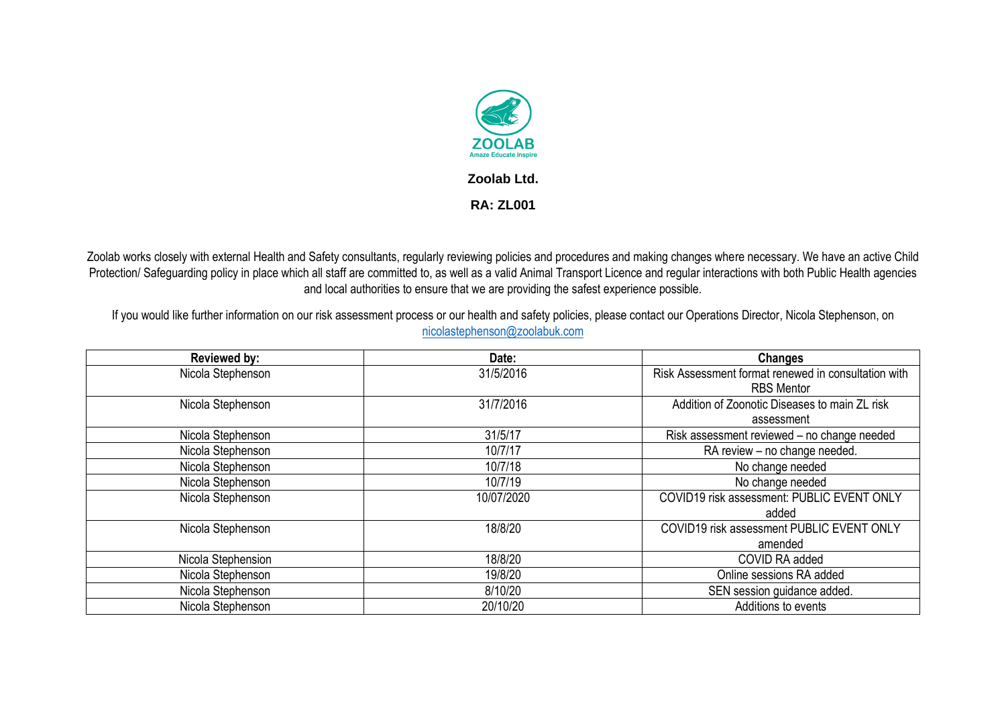

Zoolab works closely with external Health and Safety consultants, regularly reviewing policies and procedures and making changes where necessary. We have an active Child Protection/ Safeguarding policy in place which all staff are committed to, as well as a valid Animal Transport Licence and regular interactions with both Public Health agencies and local authorities to ensure that we are providing the safest experience possible.

If you would like further information on our risk assessment process or our health and safety policies, please contact our Operations Director, Nicola Stephenson, on [nicolastephenson@zoolabuk.com](mailto:nicolastephenson@zoolabuk.com)

| <b>Reviewed by:</b> | Date:      | <b>Changes</b>                                      |
|---------------------|------------|-----------------------------------------------------|
| Nicola Stephenson   | 31/5/2016  | Risk Assessment format renewed in consultation with |
|                     |            | <b>RBS Mentor</b>                                   |
| Nicola Stephenson   | 31/7/2016  | Addition of Zoonotic Diseases to main ZL risk       |
|                     |            | assessment                                          |
| Nicola Stephenson   | 31/5/17    | Risk assessment reviewed - no change needed         |
| Nicola Stephenson   | 10/7/17    | RA review - no change needed.                       |
| Nicola Stephenson   | 10/7/18    | No change needed                                    |
| Nicola Stephenson   | 10/7/19    | No change needed                                    |
| Nicola Stephenson   | 10/07/2020 | COVID19 risk assessment: PUBLIC EVENT ONLY          |
|                     |            | added                                               |
| Nicola Stephenson   | 18/8/20    | COVID19 risk assessment PUBLIC EVENT ONLY           |
|                     |            | amended                                             |
| Nicola Stephension  | 18/8/20    | COVID RA added                                      |
| Nicola Stephenson   | 19/8/20    | Online sessions RA added                            |
| Nicola Stephenson   | 8/10/20    | SEN session guidance added.                         |
| Nicola Stephenson   | 20/10/20   | Additions to events                                 |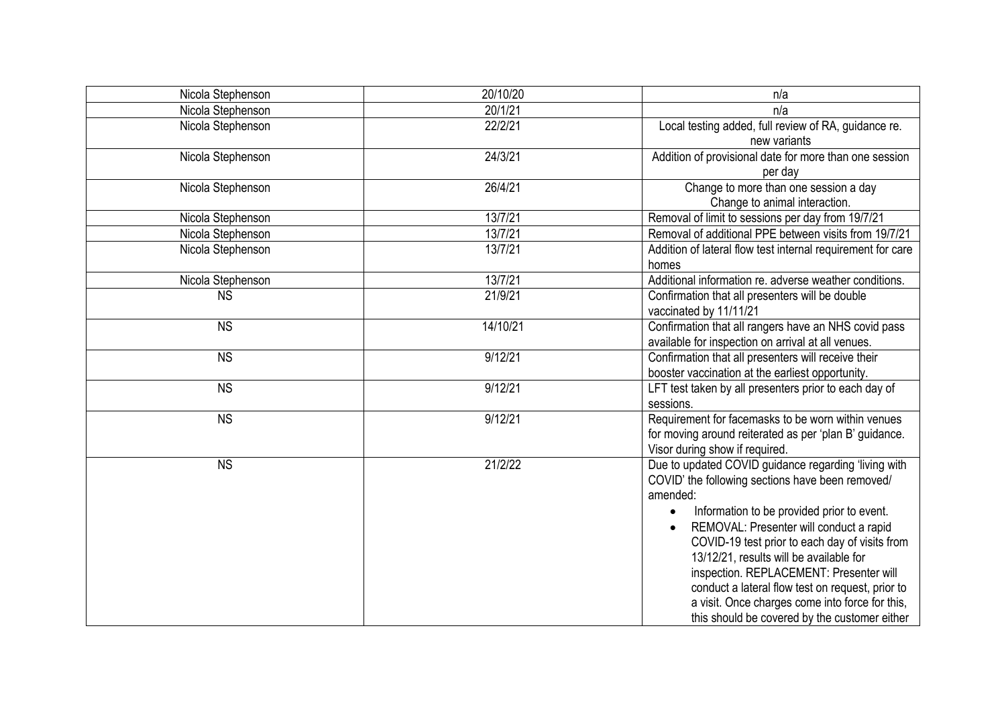| Nicola Stephenson | 20/10/20 | n/a                                                         |
|-------------------|----------|-------------------------------------------------------------|
| Nicola Stephenson | 20/1/21  | n/a                                                         |
| Nicola Stephenson | 22/2/21  | Local testing added, full review of RA, guidance re.        |
|                   |          | new variants                                                |
| Nicola Stephenson | 24/3/21  | Addition of provisional date for more than one session      |
|                   |          | per day                                                     |
| Nicola Stephenson | 26/4/21  | Change to more than one session a day                       |
|                   |          | Change to animal interaction.                               |
| Nicola Stephenson | 13/7/21  | Removal of limit to sessions per day from 19/7/21           |
| Nicola Stephenson | 13/7/21  | Removal of additional PPE between visits from 19/7/21       |
| Nicola Stephenson | 13/7/21  | Addition of lateral flow test internal requirement for care |
|                   |          | homes                                                       |
| Nicola Stephenson | 13/7/21  | Additional information re. adverse weather conditions.      |
| <b>NS</b>         | 21/9/21  | Confirmation that all presenters will be double             |
|                   |          | vaccinated by 11/11/21                                      |
| <b>NS</b>         | 14/10/21 | Confirmation that all rangers have an NHS covid pass        |
|                   |          | available for inspection on arrival at all venues.          |
| <b>NS</b>         | 9/12/21  | Confirmation that all presenters will receive their         |
|                   |          | booster vaccination at the earliest opportunity.            |
| <b>NS</b>         | 9/12/21  | LFT test taken by all presenters prior to each day of       |
|                   |          | sessions.                                                   |
| <b>NS</b>         | 9/12/21  | Requirement for facemasks to be worn within venues          |
|                   |          | for moving around reiterated as per 'plan B' guidance.      |
|                   |          | Visor during show if required.                              |
| <b>NS</b>         | 21/2/22  | Due to updated COVID guidance regarding 'living with        |
|                   |          | COVID' the following sections have been removed/            |
|                   |          | amended:                                                    |
|                   |          | Information to be provided prior to event.                  |
|                   |          | REMOVAL: Presenter will conduct a rapid                     |
|                   |          | COVID-19 test prior to each day of visits from              |
|                   |          | 13/12/21, results will be available for                     |
|                   |          | inspection. REPLACEMENT: Presenter will                     |
|                   |          | conduct a lateral flow test on request, prior to            |
|                   |          | a visit. Once charges come into force for this,             |
|                   |          | this should be covered by the customer either               |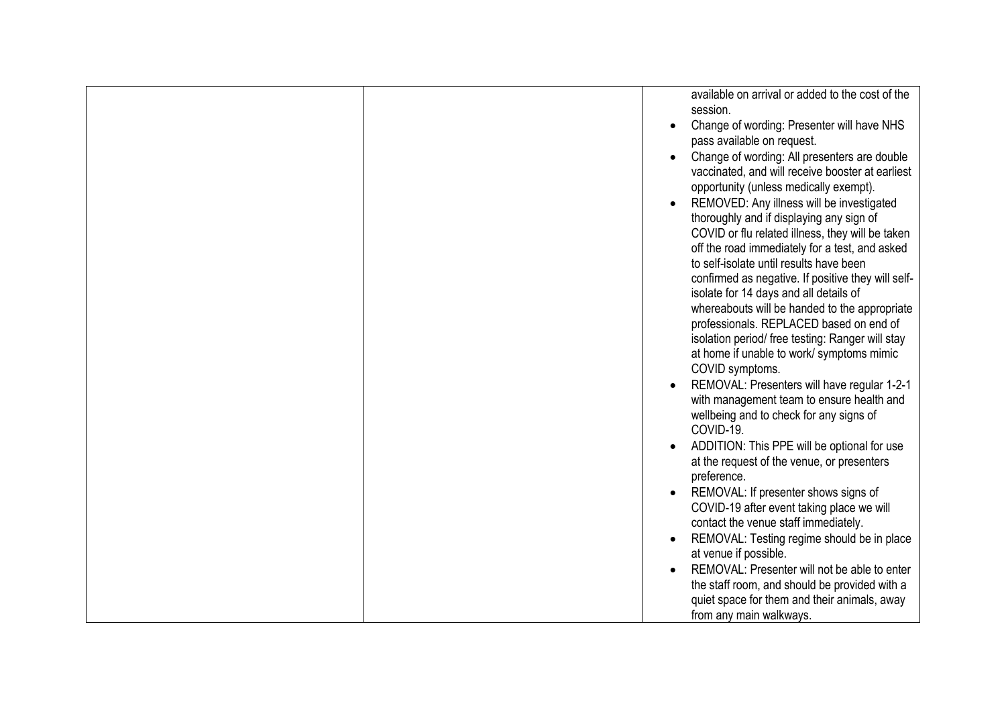|  | available on arrival or added to the cost of the<br>session.<br>Change of wording: Presenter will have NHS<br>$\bullet$<br>pass available on request.<br>Change of wording: All presenters are double<br>$\bullet$<br>vaccinated, and will receive booster at earliest<br>opportunity (unless medically exempt).<br>REMOVED: Any illness will be investigated<br>thoroughly and if displaying any sign of<br>COVID or flu related illness, they will be taken<br>off the road immediately for a test, and asked<br>to self-isolate until results have been<br>confirmed as negative. If positive they will self-<br>isolate for 14 days and all details of<br>whereabouts will be handed to the appropriate<br>professionals. REPLACED based on end of<br>isolation period/ free testing: Ranger will stay<br>at home if unable to work/ symptoms mimic<br>COVID symptoms.<br>REMOVAL: Presenters will have regular 1-2-1<br>with management team to ensure health and<br>wellbeing and to check for any signs of<br>COVID-19.<br>ADDITION: This PPE will be optional for use<br>$\bullet$<br>at the request of the venue, or presenters<br>preference.<br>REMOVAL: If presenter shows signs of<br>COVID-19 after event taking place we will<br>contact the venue staff immediately.<br>REMOVAL: Testing regime should be in place<br>$\bullet$<br>at venue if possible. |
|--|--------------------------------------------------------------------------------------------------------------------------------------------------------------------------------------------------------------------------------------------------------------------------------------------------------------------------------------------------------------------------------------------------------------------------------------------------------------------------------------------------------------------------------------------------------------------------------------------------------------------------------------------------------------------------------------------------------------------------------------------------------------------------------------------------------------------------------------------------------------------------------------------------------------------------------------------------------------------------------------------------------------------------------------------------------------------------------------------------------------------------------------------------------------------------------------------------------------------------------------------------------------------------------------------------------------------------------------------------------------------------|
|  | REMOVAL: Presenter will not be able to enter<br>$\bullet$<br>the staff room, and should be provided with a<br>quiet space for them and their animals, away                                                                                                                                                                                                                                                                                                                                                                                                                                                                                                                                                                                                                                                                                                                                                                                                                                                                                                                                                                                                                                                                                                                                                                                                               |
|  | from any main walkways.                                                                                                                                                                                                                                                                                                                                                                                                                                                                                                                                                                                                                                                                                                                                                                                                                                                                                                                                                                                                                                                                                                                                                                                                                                                                                                                                                  |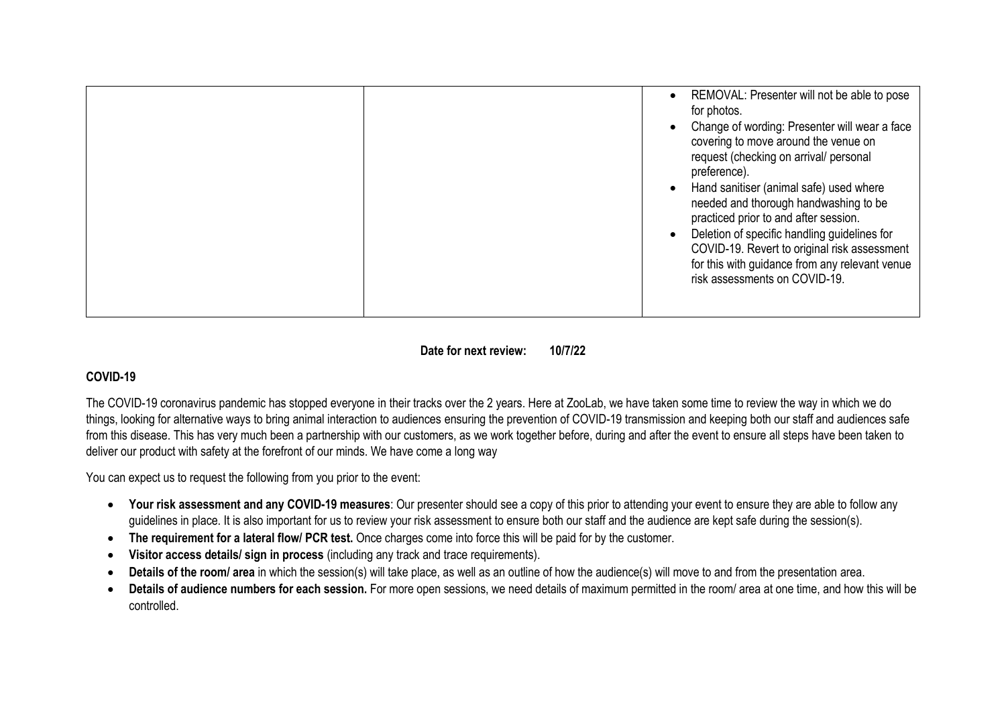|  | REMOVAL: Presenter will not be able to pose<br>$\bullet$<br>for photos.<br>Change of wording: Presenter will wear a face<br>$\bullet$<br>covering to move around the venue on<br>request (checking on arrival/ personal<br>preference).<br>Hand sanitiser (animal safe) used where<br>$\bullet$<br>needed and thorough handwashing to be<br>practiced prior to and after session.<br>Deletion of specific handling guidelines for<br>$\bullet$<br>COVID-19. Revert to original risk assessment<br>for this with guidance from any relevant venue<br>risk assessments on COVID-19. |
|--|-----------------------------------------------------------------------------------------------------------------------------------------------------------------------------------------------------------------------------------------------------------------------------------------------------------------------------------------------------------------------------------------------------------------------------------------------------------------------------------------------------------------------------------------------------------------------------------|
|--|-----------------------------------------------------------------------------------------------------------------------------------------------------------------------------------------------------------------------------------------------------------------------------------------------------------------------------------------------------------------------------------------------------------------------------------------------------------------------------------------------------------------------------------------------------------------------------------|

**Date for next review: 10/7/22**

# **COVID-19**

The COVID-19 coronavirus pandemic has stopped everyone in their tracks over the 2 years. Here at ZooLab, we have taken some time to review the way in which we do things, looking for alternative ways to bring animal interaction to audiences ensuring the prevention of COVID-19 transmission and keeping both our staff and audiences safe from this disease. This has very much been a partnership with our customers, as we work together before, during and after the event to ensure all steps have been taken to deliver our product with safety at the forefront of our minds. We have come a long way

You can expect us to request the following from you prior to the event:

- **Your risk assessment and any COVID-19 measures**: Our presenter should see a copy of this prior to attending your event to ensure they are able to follow any guidelines in place. It is also important for us to review your risk assessment to ensure both our staff and the audience are kept safe during the session(s).
- **The requirement for a lateral flow/ PCR test.** Once charges come into force this will be paid for by the customer.
- **Visitor access details/ sign in process** (including any track and trace requirements).
- **Details of the room/ area** in which the session(s) will take place, as well as an outline of how the audience(s) will move to and from the presentation area.
- Details of audience numbers for each session. For more open sessions, we need details of maximum permitted in the room/ area at one time, and how this will be controlled.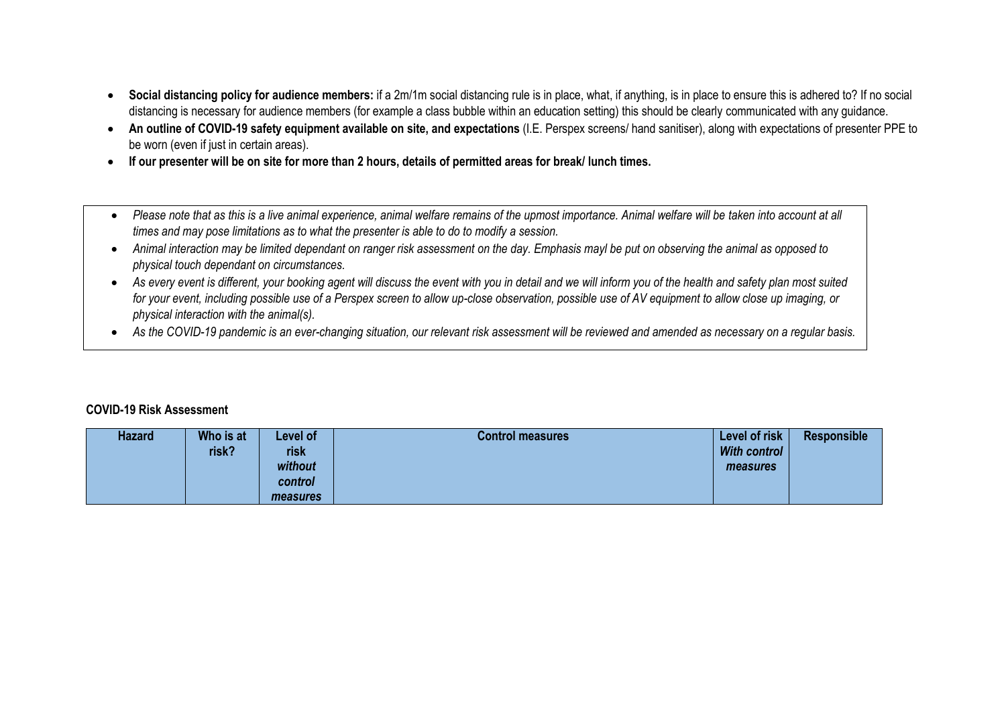- **Social distancing policy for audience members:** if a 2m/1m social distancing rule is in place, what, if anything, is in place to ensure this is adhered to? If no social distancing is necessary for audience members (for example a class bubble within an education setting) this should be clearly communicated with any guidance.
- **An outline of COVID-19 safety equipment available on site, and expectations** (I.E. Perspex screens/ hand sanitiser), along with expectations of presenter PPE to be worn (even if just in certain areas).
- **If our presenter will be on site for more than 2 hours, details of permitted areas for break/ lunch times.**
- Please note that as this is a live animal experience, animal welfare remains of the upmost importance. Animal welfare will be taken into account at all *times and may pose limitations as to what the presenter is able to do to modify a session.*
- *Animal interaction may be limited dependant on ranger risk assessment on the day. Emphasis mayl be put on observing the animal as opposed to physical touch dependant on circumstances.*
- *As every event is different, your booking agent will discuss the event with you in detail and we will inform you of the health and safety plan most suited for your event, including possible use of a Perspex screen to allow up-close observation, possible use of AV equipment to allow close up imaging, or physical interaction with the animal(s).*
- *As the COVID-19 pandemic is an ever-changing situation, our relevant risk assessment will be reviewed and amended as necessary on a regular basis.*

#### **COVID-19 Risk Assessment**

| <b>Hazard</b> | Who is at<br>risk? | Level of<br>risk<br>without<br>control<br>measures | <b>Control measures</b> | Level of risk<br><b>With control</b><br>measures | Responsible |
|---------------|--------------------|----------------------------------------------------|-------------------------|--------------------------------------------------|-------------|
|---------------|--------------------|----------------------------------------------------|-------------------------|--------------------------------------------------|-------------|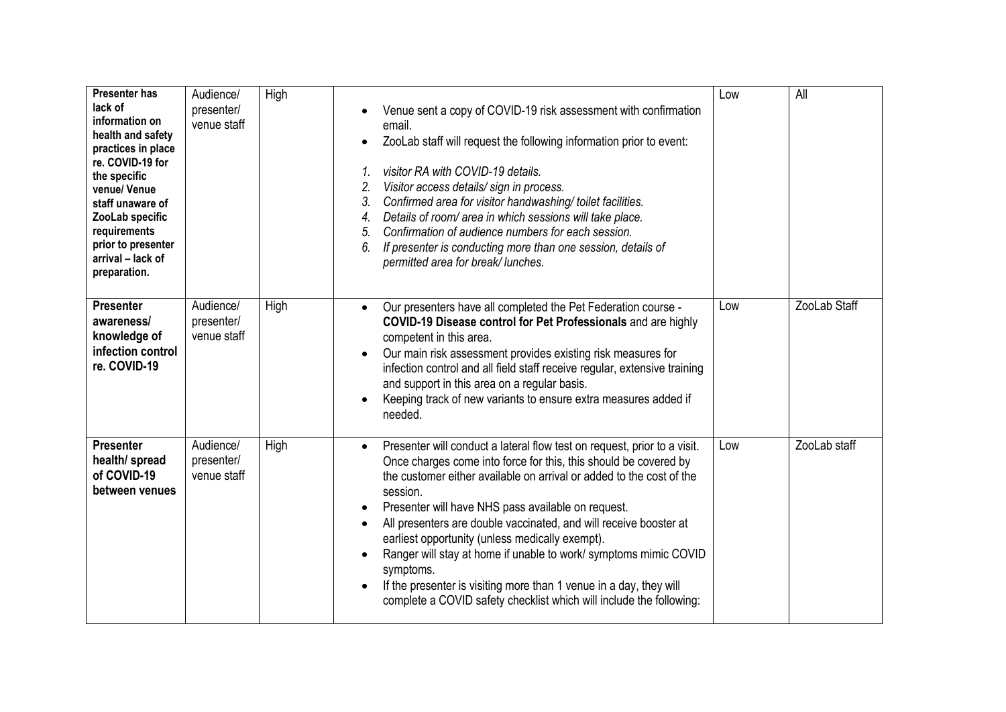| <b>Presenter has</b><br>lack of<br>information on<br>health and safety<br>practices in place<br>re. COVID-19 for<br>the specific<br>venue/Venue<br>staff unaware of<br>ZooLab specific<br>requirements<br>prior to presenter<br>arrival - lack of<br>preparation. | Audience/<br>presenter/<br>venue staff | High | Venue sent a copy of COVID-19 risk assessment with confirmation<br>email.<br>ZooLab staff will request the following information prior to event:<br>visitor RA with COVID-19 details.<br>$\mathcal{I}$ .<br>2.<br>Visitor access details/sign in process.<br>3.<br>Confirmed area for visitor handwashing/toilet facilities.<br>Details of room/ area in which sessions will take place.<br>4.<br>Confirmation of audience numbers for each session.<br>5.<br>6.<br>If presenter is conducting more than one session, details of<br>permitted area for break/lunches.                                                                                    | Low | All          |
|-------------------------------------------------------------------------------------------------------------------------------------------------------------------------------------------------------------------------------------------------------------------|----------------------------------------|------|----------------------------------------------------------------------------------------------------------------------------------------------------------------------------------------------------------------------------------------------------------------------------------------------------------------------------------------------------------------------------------------------------------------------------------------------------------------------------------------------------------------------------------------------------------------------------------------------------------------------------------------------------------|-----|--------------|
| <b>Presenter</b><br>awareness/<br>knowledge of<br>infection control<br>re. COVID-19                                                                                                                                                                               | Audience/<br>presenter/<br>venue staff | High | Our presenters have all completed the Pet Federation course -<br>$\bullet$<br>COVID-19 Disease control for Pet Professionals and are highly<br>competent in this area.<br>Our main risk assessment provides existing risk measures for<br>infection control and all field staff receive regular, extensive training<br>and support in this area on a regular basis.<br>Keeping track of new variants to ensure extra measures added if<br>needed.                                                                                                                                                                                                        | Low | ZooLab Staff |
| <b>Presenter</b><br>health/ spread<br>of COVID-19<br>between venues                                                                                                                                                                                               | Audience/<br>presenter/<br>venue staff | High | Presenter will conduct a lateral flow test on request, prior to a visit.<br>$\bullet$<br>Once charges come into force for this, this should be covered by<br>the customer either available on arrival or added to the cost of the<br>session.<br>Presenter will have NHS pass available on request.<br>All presenters are double vaccinated, and will receive booster at<br>earliest opportunity (unless medically exempt).<br>Ranger will stay at home if unable to work/symptoms mimic COVID<br>symptoms.<br>If the presenter is visiting more than 1 venue in a day, they will<br>complete a COVID safety checklist which will include the following: | Low | ZooLab staff |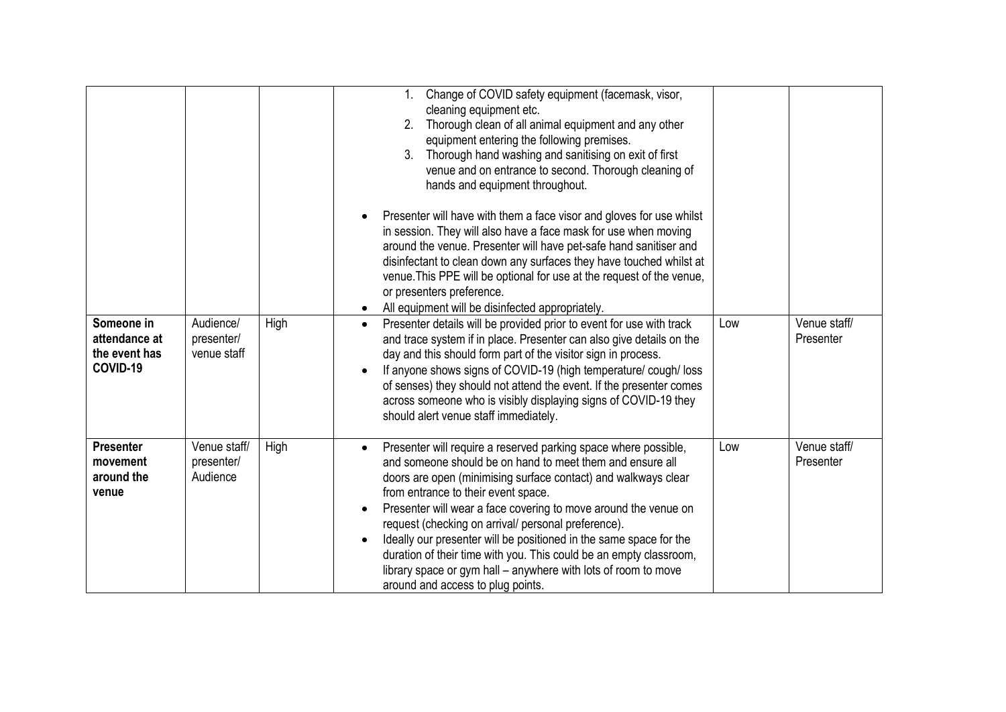|                                                          |                                        |      | Change of COVID safety equipment (facemask, visor,<br>$1_{\cdot}$<br>cleaning equipment etc.<br>Thorough clean of all animal equipment and any other<br>2.<br>equipment entering the following premises.<br>Thorough hand washing and sanitising on exit of first<br>3.<br>venue and on entrance to second. Thorough cleaning of<br>hands and equipment throughout.                                                                                                                                                                                                                                                             |     |                           |
|----------------------------------------------------------|----------------------------------------|------|---------------------------------------------------------------------------------------------------------------------------------------------------------------------------------------------------------------------------------------------------------------------------------------------------------------------------------------------------------------------------------------------------------------------------------------------------------------------------------------------------------------------------------------------------------------------------------------------------------------------------------|-----|---------------------------|
|                                                          |                                        |      | Presenter will have with them a face visor and gloves for use whilst<br>in session. They will also have a face mask for use when moving<br>around the venue. Presenter will have pet-safe hand sanitiser and<br>disinfectant to clean down any surfaces they have touched whilst at<br>venue. This PPE will be optional for use at the request of the venue,<br>or presenters preference.<br>All equipment will be disinfected appropriately.                                                                                                                                                                                   |     |                           |
| Someone in<br>attendance at<br>the event has<br>COVID-19 | Audience/<br>presenter/<br>venue staff | High | Presenter details will be provided prior to event for use with track<br>$\bullet$<br>and trace system if in place. Presenter can also give details on the<br>day and this should form part of the visitor sign in process.<br>If anyone shows signs of COVID-19 (high temperature/cough/loss<br>of senses) they should not attend the event. If the presenter comes<br>across someone who is visibly displaying signs of COVID-19 they<br>should alert venue staff immediately.                                                                                                                                                 | Low | Venue staff/<br>Presenter |
| <b>Presenter</b><br>movement<br>around the<br>venue      | Venue staff/<br>presenter/<br>Audience | High | Presenter will require a reserved parking space where possible,<br>$\bullet$<br>and someone should be on hand to meet them and ensure all<br>doors are open (minimising surface contact) and walkways clear<br>from entrance to their event space.<br>Presenter will wear a face covering to move around the venue on<br>request (checking on arrival/ personal preference).<br>Ideally our presenter will be positioned in the same space for the<br>duration of their time with you. This could be an empty classroom,<br>library space or gym hall – anywhere with lots of room to move<br>around and access to plug points. | Low | Venue staff/<br>Presenter |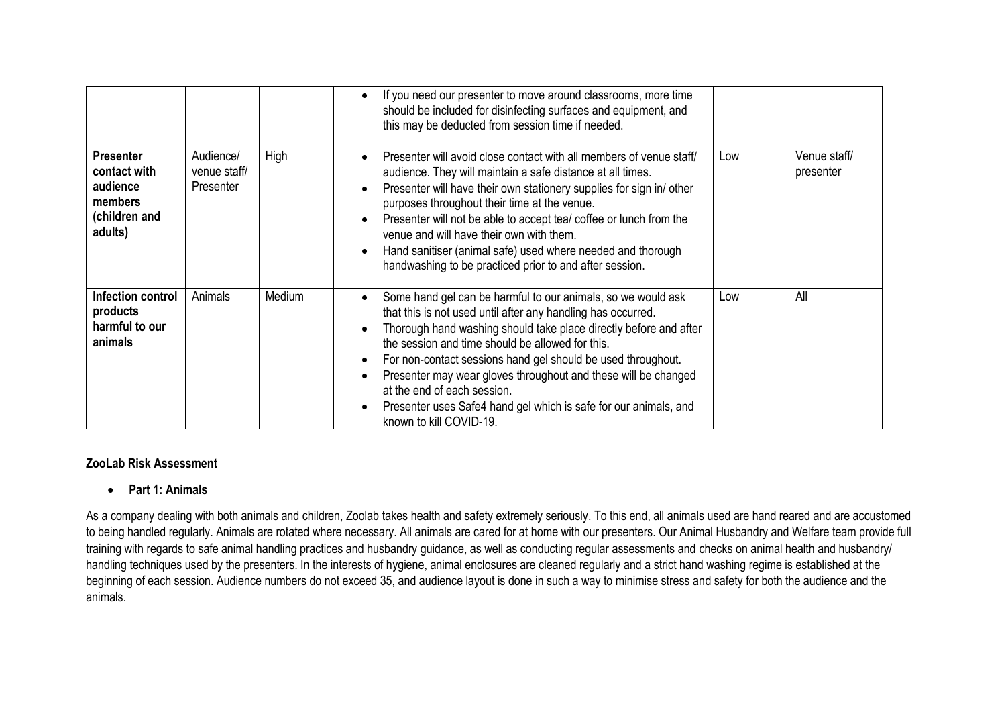|                                                                                     |                                        |        | If you need our presenter to move around classrooms, more time<br>should be included for disinfecting surfaces and equipment, and<br>this may be deducted from session time if needed.                                                                                                                                                                                                                                                                                                                                |     |                           |
|-------------------------------------------------------------------------------------|----------------------------------------|--------|-----------------------------------------------------------------------------------------------------------------------------------------------------------------------------------------------------------------------------------------------------------------------------------------------------------------------------------------------------------------------------------------------------------------------------------------------------------------------------------------------------------------------|-----|---------------------------|
| <b>Presenter</b><br>contact with<br>audience<br>members<br>(children and<br>adults) | Audience/<br>venue staff/<br>Presenter | High   | Presenter will avoid close contact with all members of venue staff/<br>audience. They will maintain a safe distance at all times.<br>Presenter will have their own stationery supplies for sign in/other<br>purposes throughout their time at the venue.<br>Presenter will not be able to accept tea/ coffee or lunch from the<br>venue and will have their own with them.<br>Hand sanitiser (animal safe) used where needed and thorough<br>handwashing to be practiced prior to and after session.                  | Low | Venue staff/<br>presenter |
| Infection control<br>products<br>harmful to our<br>animals                          | Animals                                | Medium | Some hand gel can be harmful to our animals, so we would ask<br>that this is not used until after any handling has occurred.<br>Thorough hand washing should take place directly before and after<br>the session and time should be allowed for this.<br>For non-contact sessions hand gel should be used throughout.<br>Presenter may wear gloves throughout and these will be changed<br>at the end of each session.<br>Presenter uses Safe4 hand gel which is safe for our animals, and<br>known to kill COVID-19. | Low | All                       |

#### **ZooLab Risk Assessment**

#### • **Part 1: Animals**

As a company dealing with both animals and children, Zoolab takes health and safety extremely seriously. To this end, all animals used are hand reared and are accustomed to being handled regularly. Animals are rotated where necessary. All animals are cared for at home with our presenters. Our Animal Husbandry and Welfare team provide full training with regards to safe animal handling practices and husbandry guidance, as well as conducting regular assessments and checks on animal health and husbandry/ handling techniques used by the presenters. In the interests of hygiene, animal enclosures are cleaned regularly and a strict hand washing regime is established at the beginning of each session. Audience numbers do not exceed 35, and audience layout is done in such a way to minimise stress and safety for both the audience and the animals.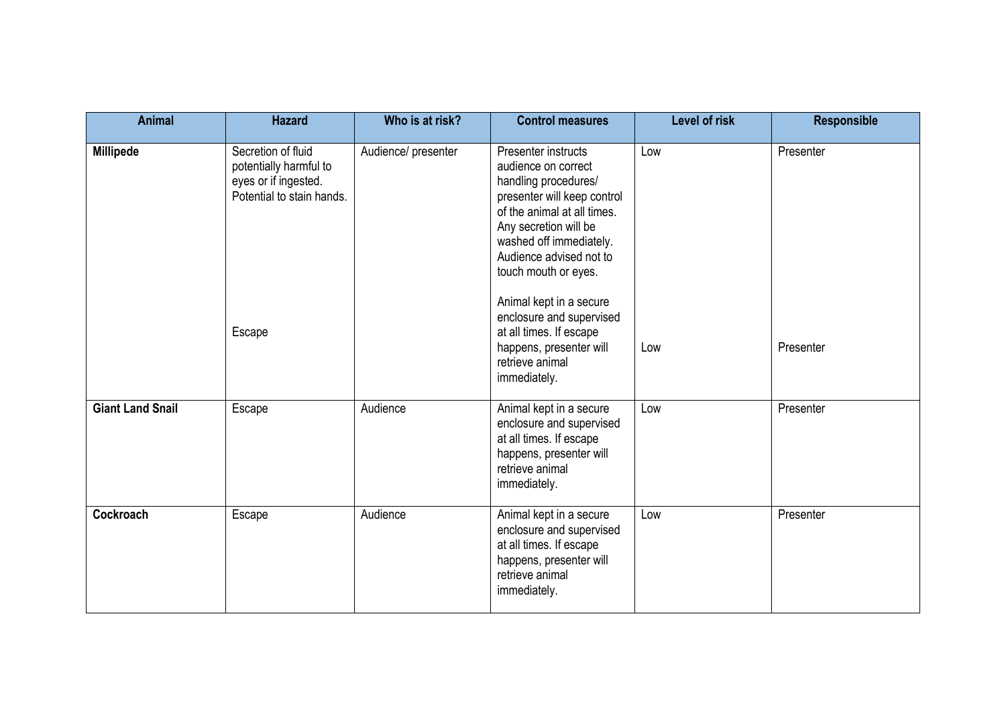| <b>Animal</b>           | <b>Hazard</b>                                                                                               | Who is at risk?     | <b>Control measures</b>                                                                                                                                                                                                                                                                                                                                                 | <b>Level of risk</b> | <b>Responsible</b>     |
|-------------------------|-------------------------------------------------------------------------------------------------------------|---------------------|-------------------------------------------------------------------------------------------------------------------------------------------------------------------------------------------------------------------------------------------------------------------------------------------------------------------------------------------------------------------------|----------------------|------------------------|
| <b>Millipede</b>        | Secretion of fluid<br>potentially harmful to<br>eyes or if ingested.<br>Potential to stain hands.<br>Escape | Audience/ presenter | Presenter instructs<br>audience on correct<br>handling procedures/<br>presenter will keep control<br>of the animal at all times.<br>Any secretion will be<br>washed off immediately.<br>Audience advised not to<br>touch mouth or eyes.<br>Animal kept in a secure<br>enclosure and supervised<br>at all times. If escape<br>happens, presenter will<br>retrieve animal | Low<br>Low           | Presenter<br>Presenter |
| <b>Giant Land Snail</b> | Escape                                                                                                      | Audience            | immediately.<br>Animal kept in a secure<br>enclosure and supervised<br>at all times. If escape<br>happens, presenter will<br>retrieve animal<br>immediately.                                                                                                                                                                                                            | Low                  | Presenter              |
| Cockroach               | Escape                                                                                                      | Audience            | Animal kept in a secure<br>enclosure and supervised<br>at all times. If escape<br>happens, presenter will<br>retrieve animal<br>immediately.                                                                                                                                                                                                                            | Low                  | Presenter              |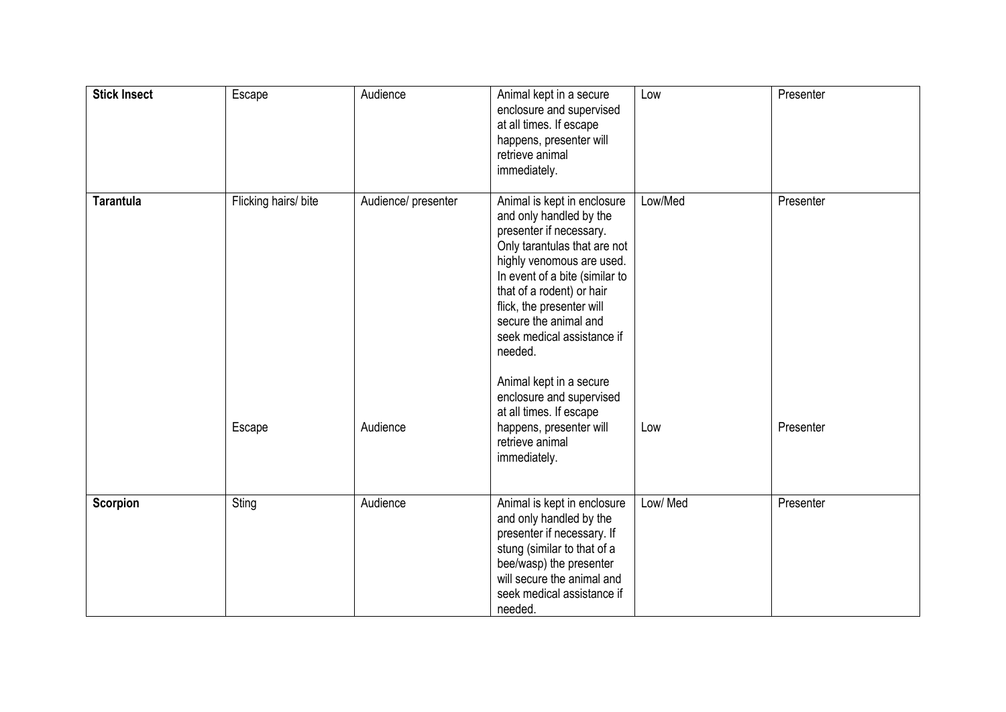| <b>Stick Insect</b> | Escape               | Audience            | Animal kept in a secure<br>enclosure and supervised<br>at all times. If escape<br>happens, presenter will<br>retrieve animal<br>immediately.                                                                                                                                                                 | Low      | Presenter |
|---------------------|----------------------|---------------------|--------------------------------------------------------------------------------------------------------------------------------------------------------------------------------------------------------------------------------------------------------------------------------------------------------------|----------|-----------|
| <b>Tarantula</b>    | Flicking hairs/ bite | Audience/ presenter | Animal is kept in enclosure<br>and only handled by the<br>presenter if necessary.<br>Only tarantulas that are not<br>highly venomous are used.<br>In event of a bite (similar to<br>that of a rodent) or hair<br>flick, the presenter will<br>secure the animal and<br>seek medical assistance if<br>needed. | Low/Med  | Presenter |
|                     | Escape               | Audience            | Animal kept in a secure<br>enclosure and supervised<br>at all times. If escape<br>happens, presenter will<br>retrieve animal<br>immediately.                                                                                                                                                                 | Low      | Presenter |
| Scorpion            | Sting                | Audience            | Animal is kept in enclosure<br>and only handled by the<br>presenter if necessary. If<br>stung (similar to that of a<br>bee/wasp) the presenter<br>will secure the animal and<br>seek medical assistance if<br>needed.                                                                                        | Low/ Med | Presenter |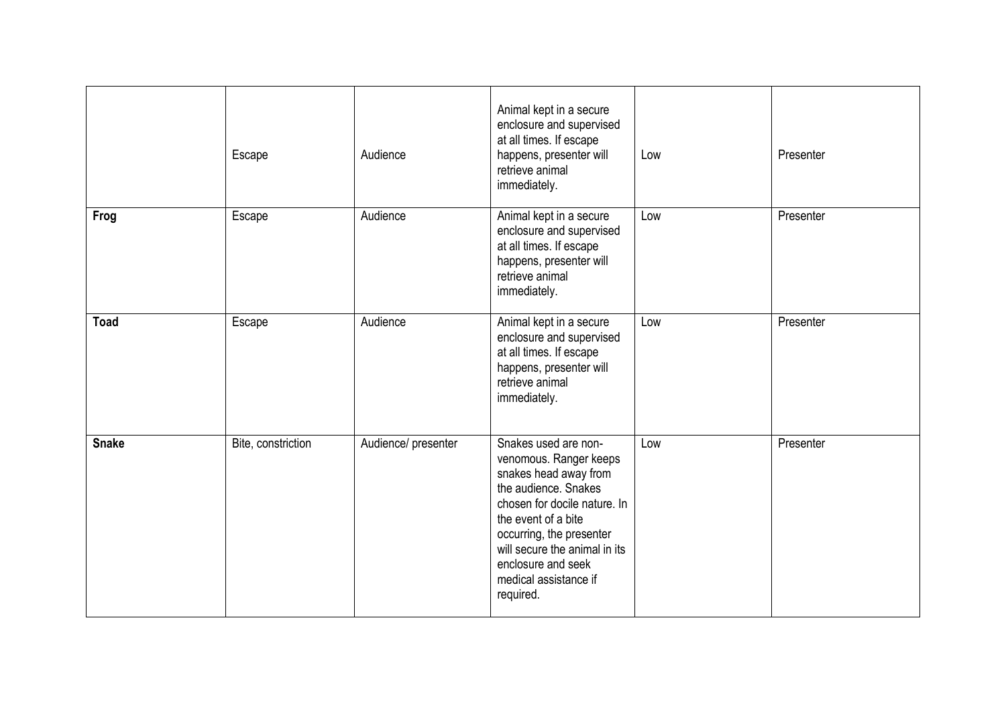|              | Escape             | Audience            | Animal kept in a secure<br>enclosure and supervised<br>at all times. If escape<br>happens, presenter will<br>retrieve animal<br>immediately.                                                                                                                                    | Low | Presenter |
|--------------|--------------------|---------------------|---------------------------------------------------------------------------------------------------------------------------------------------------------------------------------------------------------------------------------------------------------------------------------|-----|-----------|
| Frog         | Escape             | Audience            | Animal kept in a secure<br>enclosure and supervised<br>at all times. If escape<br>happens, presenter will<br>retrieve animal<br>immediately.                                                                                                                                    | Low | Presenter |
| <b>Toad</b>  | Escape             | Audience            | Animal kept in a secure<br>enclosure and supervised<br>at all times. If escape<br>happens, presenter will<br>retrieve animal<br>immediately.                                                                                                                                    | Low | Presenter |
| <b>Snake</b> | Bite, constriction | Audience/ presenter | Snakes used are non-<br>venomous. Ranger keeps<br>snakes head away from<br>the audience. Snakes<br>chosen for docile nature. In<br>the event of a bite<br>occurring, the presenter<br>will secure the animal in its<br>enclosure and seek<br>medical assistance if<br>required. | Low | Presenter |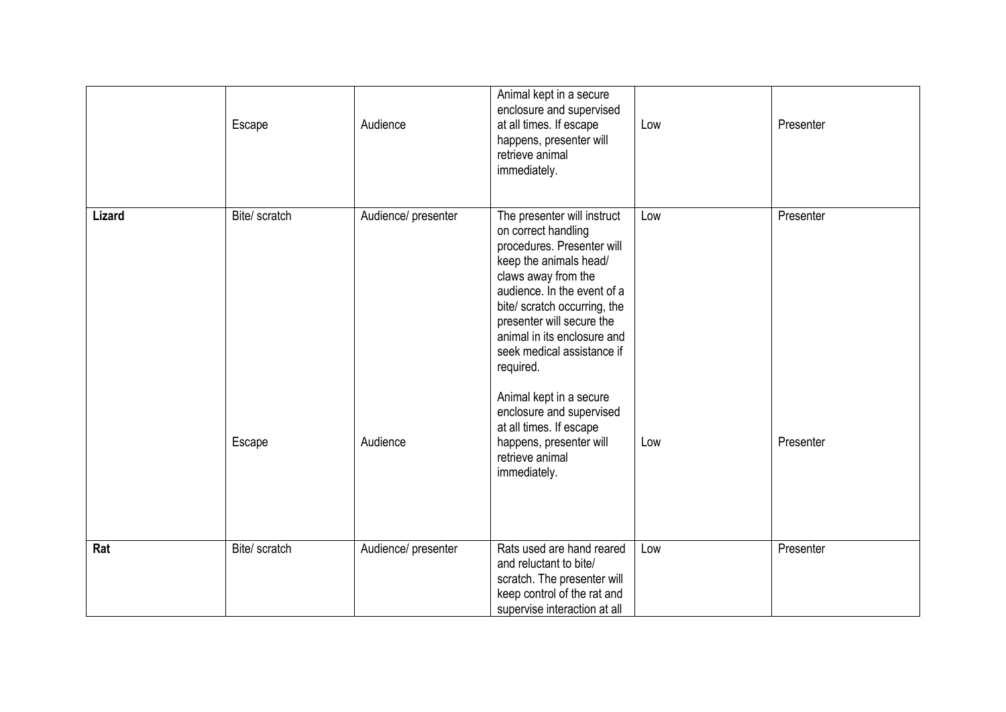|        | Escape        | Audience            | Animal kept in a secure<br>enclosure and supervised<br>at all times. If escape<br>happens, presenter will<br>retrieve animal<br>immediately.                                                                                                                                                                                                                                              | Low | Presenter |
|--------|---------------|---------------------|-------------------------------------------------------------------------------------------------------------------------------------------------------------------------------------------------------------------------------------------------------------------------------------------------------------------------------------------------------------------------------------------|-----|-----------|
| Lizard | Bite/ scratch | Audience/ presenter | The presenter will instruct<br>on correct handling<br>procedures. Presenter will<br>keep the animals head/<br>claws away from the<br>audience. In the event of a<br>bite/ scratch occurring, the<br>presenter will secure the<br>animal in its enclosure and<br>seek medical assistance if<br>required.<br>Animal kept in a secure<br>enclosure and supervised<br>at all times. If escape | Low | Presenter |
|        | Escape        | Audience            | happens, presenter will<br>retrieve animal<br>immediately.                                                                                                                                                                                                                                                                                                                                | Low | Presenter |
| Rat    | Bite/ scratch | Audience/ presenter | Rats used are hand reared<br>and reluctant to bite/<br>scratch. The presenter will<br>keep control of the rat and<br>supervise interaction at all                                                                                                                                                                                                                                         | Low | Presenter |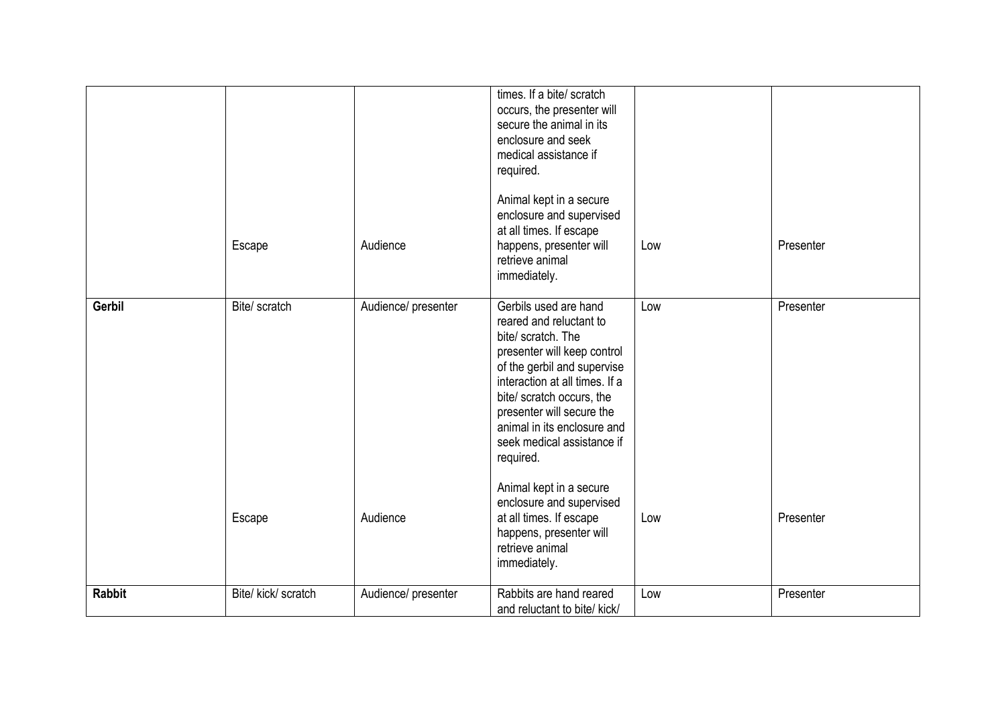|               |                     |                     | times. If a bite/ scratch<br>occurs, the presenter will<br>secure the animal in its<br>enclosure and seek                                                                                                                                                                                                  |     |           |
|---------------|---------------------|---------------------|------------------------------------------------------------------------------------------------------------------------------------------------------------------------------------------------------------------------------------------------------------------------------------------------------------|-----|-----------|
|               |                     |                     | medical assistance if<br>required.                                                                                                                                                                                                                                                                         |     |           |
|               | Escape              | Audience            | Animal kept in a secure<br>enclosure and supervised<br>at all times. If escape<br>happens, presenter will<br>retrieve animal<br>immediately.                                                                                                                                                               | Low | Presenter |
| <b>Gerbil</b> | Bite/ scratch       | Audience/ presenter | Gerbils used are hand<br>reared and reluctant to<br>bite/ scratch. The<br>presenter will keep control<br>of the gerbil and supervise<br>interaction at all times. If a<br>bite/ scratch occurs, the<br>presenter will secure the<br>animal in its enclosure and<br>seek medical assistance if<br>required. | Low | Presenter |
|               | Escape              | Audience            | Animal kept in a secure<br>enclosure and supervised<br>at all times. If escape<br>happens, presenter will<br>retrieve animal<br>immediately.                                                                                                                                                               | Low | Presenter |
| <b>Rabbit</b> | Bite/ kick/ scratch | Audience/ presenter | Rabbits are hand reared<br>and reluctant to bite/ kick/                                                                                                                                                                                                                                                    | Low | Presenter |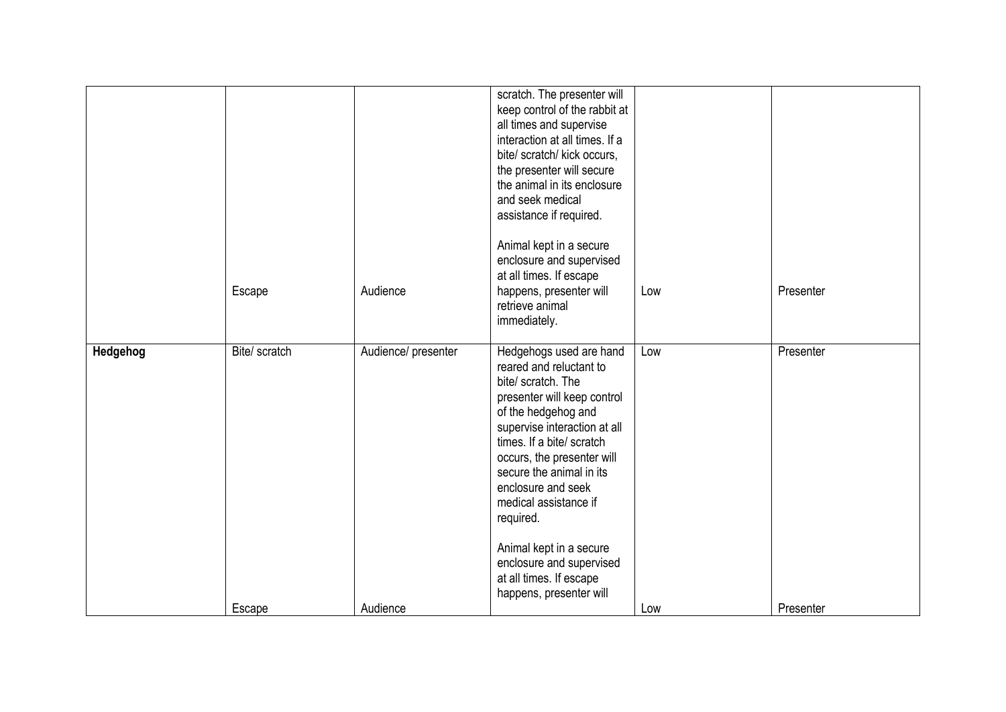|          | Escape                  | Audience                        | scratch. The presenter will<br>keep control of the rabbit at<br>all times and supervise<br>interaction at all times. If a<br>bite/ scratch/ kick occurs,<br>the presenter will secure<br>the animal in its enclosure<br>and seek medical<br>assistance if required.<br>Animal kept in a secure<br>enclosure and supervised<br>at all times. If escape<br>happens, presenter will<br>retrieve animal<br>immediately.            | Low        | Presenter              |
|----------|-------------------------|---------------------------------|--------------------------------------------------------------------------------------------------------------------------------------------------------------------------------------------------------------------------------------------------------------------------------------------------------------------------------------------------------------------------------------------------------------------------------|------------|------------------------|
| Hedgehog | Bite/ scratch<br>Escape | Audience/ presenter<br>Audience | Hedgehogs used are hand<br>reared and reluctant to<br>bite/ scratch. The<br>presenter will keep control<br>of the hedgehog and<br>supervise interaction at all<br>times. If a bite/ scratch<br>occurs, the presenter will<br>secure the animal in its<br>enclosure and seek<br>medical assistance if<br>required.<br>Animal kept in a secure<br>enclosure and supervised<br>at all times. If escape<br>happens, presenter will | Low<br>Low | Presenter<br>Presenter |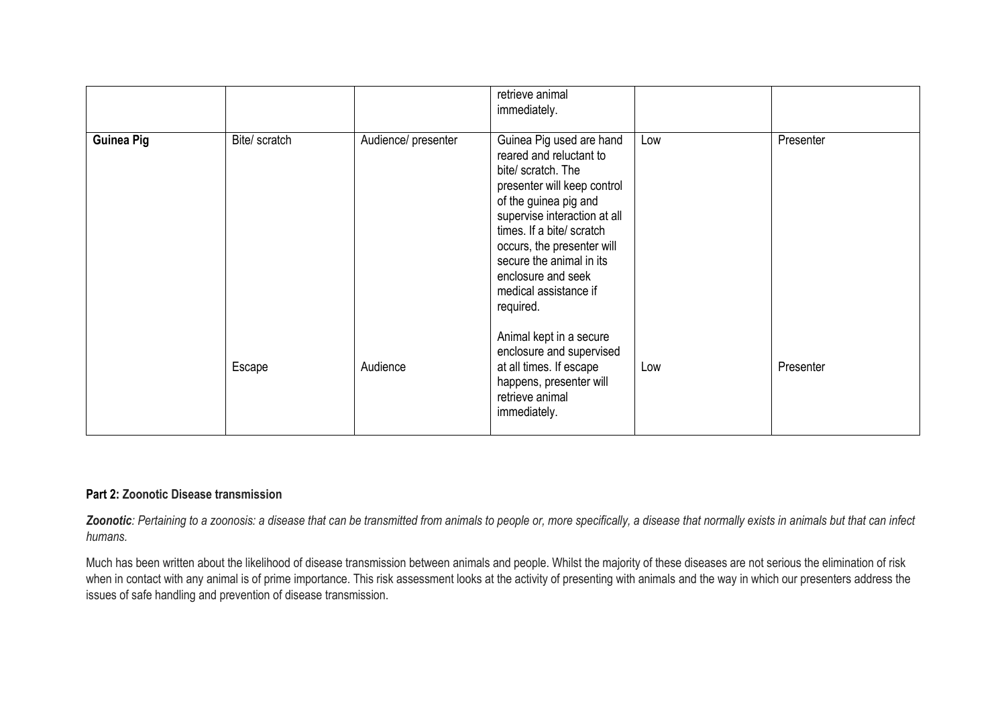|                   |               |                     | retrieve animal<br>immediately.                                                                                                                                                                                                                                                                                      |     |           |
|-------------------|---------------|---------------------|----------------------------------------------------------------------------------------------------------------------------------------------------------------------------------------------------------------------------------------------------------------------------------------------------------------------|-----|-----------|
| <b>Guinea Pig</b> | Bite/ scratch | Audience/ presenter | Guinea Pig used are hand<br>reared and reluctant to<br>bite/ scratch. The<br>presenter will keep control<br>of the guinea pig and<br>supervise interaction at all<br>times. If a bite/ scratch<br>occurs, the presenter will<br>secure the animal in its<br>enclosure and seek<br>medical assistance if<br>required. | Low | Presenter |
|                   | Escape        | Audience            | Animal kept in a secure<br>enclosure and supervised<br>at all times. If escape<br>happens, presenter will<br>retrieve animal<br>immediately.                                                                                                                                                                         | Low | Presenter |

## **Part 2: Zoonotic Disease transmission**

*Zoonotic: Pertaining to a zoonosis: a disease that can be transmitted from animals to people or, more specifically, a disease that normally exists in animals but that can infect humans.* 

Much has been written about the likelihood of disease transmission between animals and people. Whilst the majority of these diseases are not serious the elimination of risk when in contact with any animal is of prime importance. This risk assessment looks at the activity of presenting with animals and the way in which our presenters address the issues of safe handling and prevention of disease transmission.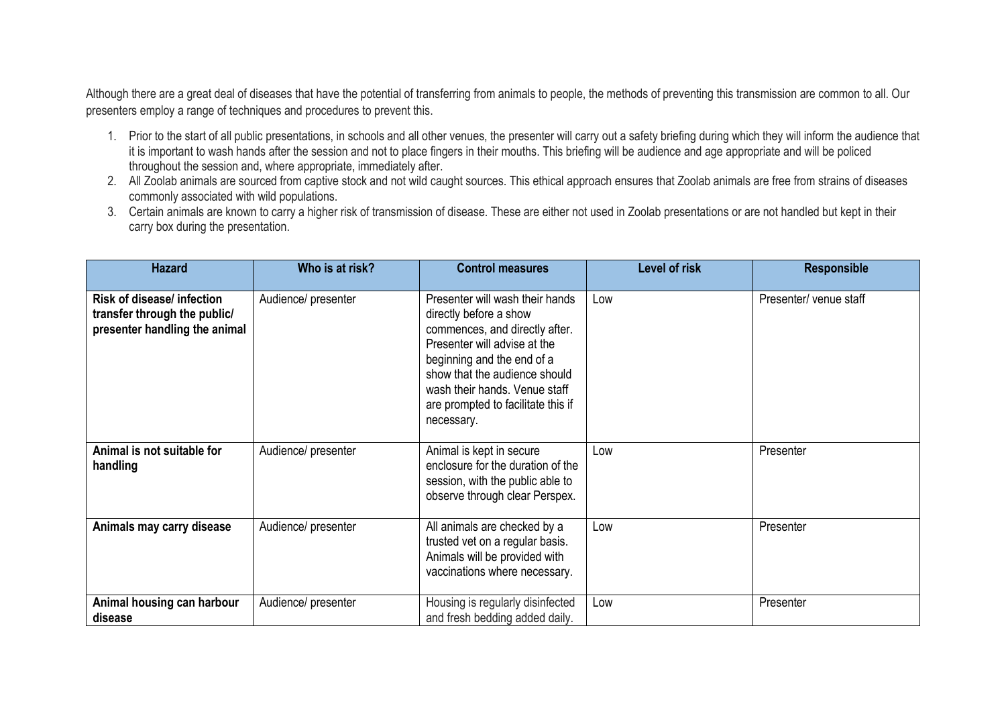Although there are a great deal of diseases that have the potential of transferring from animals to people, the methods of preventing this transmission are common to all. Our presenters employ a range of techniques and procedures to prevent this.

- 1. Prior to the start of all public presentations, in schools and all other venues, the presenter will carry out a safety briefing during which they will inform the audience that it is important to wash hands after the session and not to place fingers in their mouths. This briefing will be audience and age appropriate and will be policed throughout the session and, where appropriate, immediately after.
- 2. All Zoolab animals are sourced from captive stock and not wild caught sources. This ethical approach ensures that Zoolab animals are free from strains of diseases commonly associated with wild populations.
- 3. Certain animals are known to carry a higher risk of transmission of disease. These are either not used in Zoolab presentations or are not handled but kept in their carry box during the presentation.

| <b>Hazard</b>                                                                                      | Who is at risk?     | <b>Control measures</b>                                                                                                                                                                                                                                                         | <b>Level of risk</b> | <b>Responsible</b>     |
|----------------------------------------------------------------------------------------------------|---------------------|---------------------------------------------------------------------------------------------------------------------------------------------------------------------------------------------------------------------------------------------------------------------------------|----------------------|------------------------|
| <b>Risk of disease/ infection</b><br>transfer through the public/<br>presenter handling the animal | Audience/ presenter | Presenter will wash their hands<br>directly before a show<br>commences, and directly after.<br>Presenter will advise at the<br>beginning and the end of a<br>show that the audience should<br>wash their hands. Venue staff<br>are prompted to facilitate this if<br>necessary. | Low                  | Presenter/ venue staff |
| Animal is not suitable for<br>handling                                                             | Audience/ presenter | Animal is kept in secure<br>enclosure for the duration of the<br>session, with the public able to<br>observe through clear Perspex.                                                                                                                                             | Low                  | Presenter              |
| Animals may carry disease                                                                          | Audience/ presenter | All animals are checked by a<br>trusted vet on a regular basis.<br>Animals will be provided with<br>vaccinations where necessary.                                                                                                                                               | Low                  | Presenter              |
| Animal housing can harbour<br>disease                                                              | Audience/ presenter | Housing is regularly disinfected<br>and fresh bedding added daily.                                                                                                                                                                                                              | Low                  | Presenter              |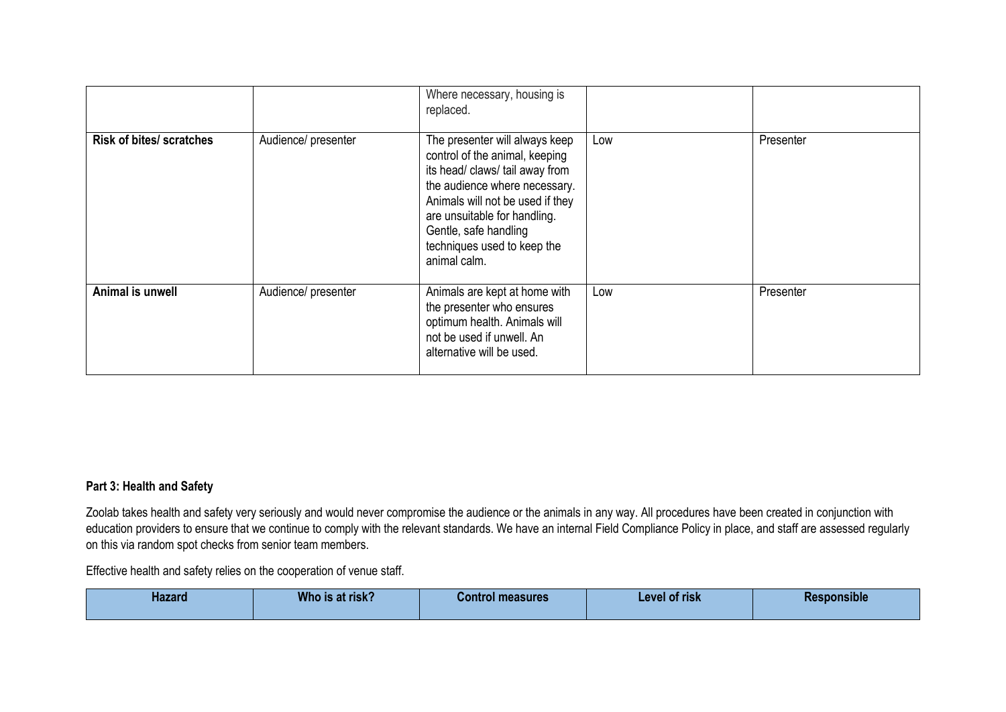|                                 |                     | Where necessary, housing is<br>replaced.                                                                                                                                                                                                                                         |     |           |
|---------------------------------|---------------------|----------------------------------------------------------------------------------------------------------------------------------------------------------------------------------------------------------------------------------------------------------------------------------|-----|-----------|
| <b>Risk of bites/ scratches</b> | Audience/ presenter | The presenter will always keep<br>control of the animal, keeping<br>its head/ claws/ tail away from<br>the audience where necessary.<br>Animals will not be used if they<br>are unsuitable for handling.<br>Gentle, safe handling<br>techniques used to keep the<br>animal calm. | Low | Presenter |
| Animal is unwell                | Audience/ presenter | Animals are kept at home with<br>the presenter who ensures<br>optimum health. Animals will<br>not be used if unwell. An<br>alternative will be used.                                                                                                                             | Low | Presenter |

# **Part 3: Health and Safety**

Zoolab takes health and safety very seriously and would never compromise the audience or the animals in any way. All procedures have been created in conjunction with education providers to ensure that we continue to comply with the relevant standards. We have an internal Field Compliance Policy in place, and staff are assessed regularly on this via random spot checks from senior team members.

Effective health and safety relies on the cooperation of venue staff.

| <b>Hazard</b> | Who is at risk? | <b>Control measures</b> | Level of risk | <b>Responsible</b> |
|---------------|-----------------|-------------------------|---------------|--------------------|
|               |                 |                         |               |                    |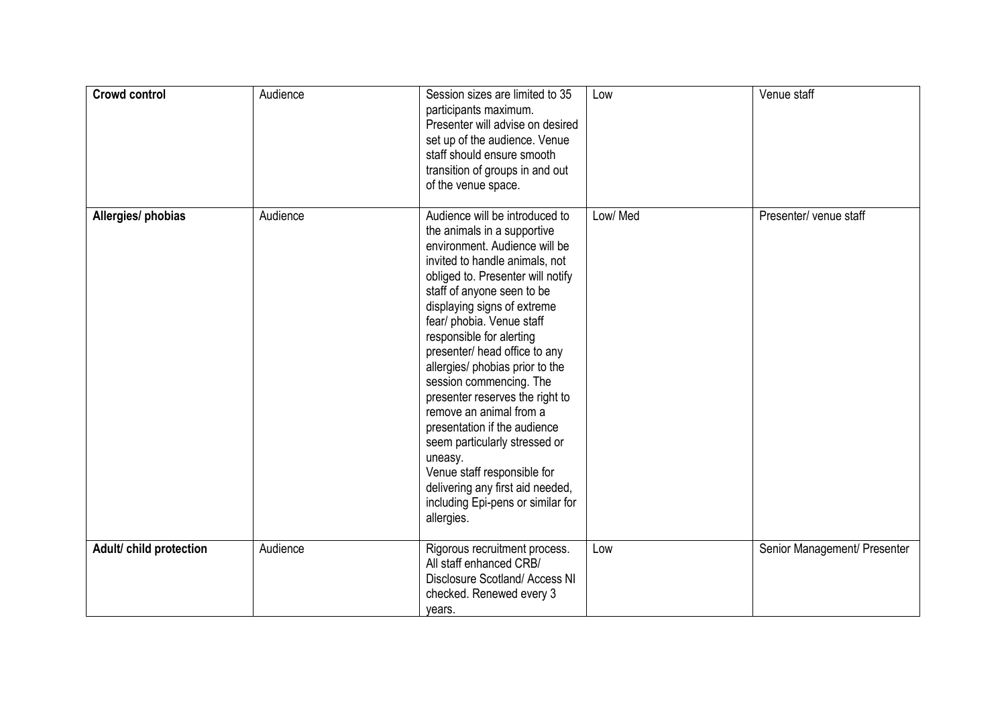| <b>Crowd control</b>    | Audience | Session sizes are limited to 35<br>participants maximum.<br>Presenter will advise on desired<br>set up of the audience. Venue<br>staff should ensure smooth<br>transition of groups in and out<br>of the venue space.                                                                                                                                                                                                                                                                                                                                                                                                                                      | Low     | Venue staff                  |
|-------------------------|----------|------------------------------------------------------------------------------------------------------------------------------------------------------------------------------------------------------------------------------------------------------------------------------------------------------------------------------------------------------------------------------------------------------------------------------------------------------------------------------------------------------------------------------------------------------------------------------------------------------------------------------------------------------------|---------|------------------------------|
| Allergies/ phobias      | Audience | Audience will be introduced to<br>the animals in a supportive<br>environment. Audience will be<br>invited to handle animals, not<br>obliged to. Presenter will notify<br>staff of anyone seen to be<br>displaying signs of extreme<br>fear/ phobia. Venue staff<br>responsible for alerting<br>presenter/ head office to any<br>allergies/ phobias prior to the<br>session commencing. The<br>presenter reserves the right to<br>remove an animal from a<br>presentation if the audience<br>seem particularly stressed or<br>uneasy.<br>Venue staff responsible for<br>delivering any first aid needed,<br>including Epi-pens or similar for<br>allergies. | Low/Med | Presenter/ venue staff       |
| Adult/ child protection | Audience | Rigorous recruitment process.<br>All staff enhanced CRB/<br>Disclosure Scotland/ Access NI<br>checked. Renewed every 3<br>years.                                                                                                                                                                                                                                                                                                                                                                                                                                                                                                                           | Low     | Senior Management/ Presenter |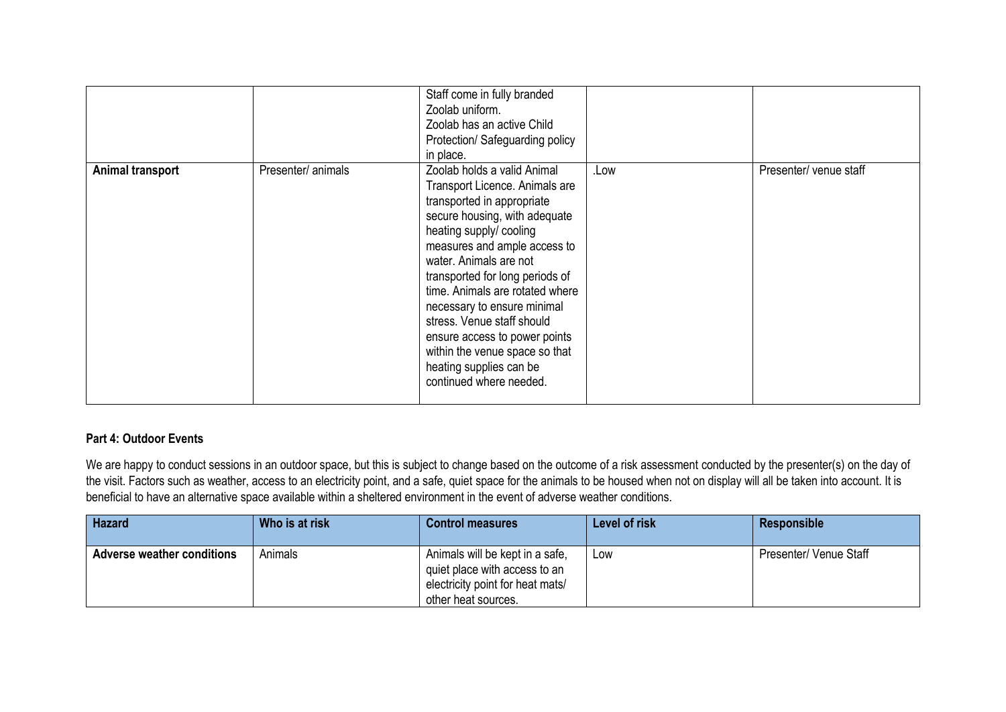|                  |                    | Staff come in fully branded<br>Zoolab uniform.<br>Zoolab has an active Child<br>Protection/ Safeguarding policy<br>in place.                                                                                                                                                                                                                                                                                                                                                  |      |                        |
|------------------|--------------------|-------------------------------------------------------------------------------------------------------------------------------------------------------------------------------------------------------------------------------------------------------------------------------------------------------------------------------------------------------------------------------------------------------------------------------------------------------------------------------|------|------------------------|
| Animal transport | Presenter/ animals | Zoolab holds a valid Animal<br>Transport Licence. Animals are<br>transported in appropriate<br>secure housing, with adequate<br>heating supply/ cooling<br>measures and ample access to<br>water. Animals are not<br>transported for long periods of<br>time. Animals are rotated where<br>necessary to ensure minimal<br>stress. Venue staff should<br>ensure access to power points<br>within the venue space so that<br>heating supplies can be<br>continued where needed. | .Low | Presenter/ venue staff |

# **Part 4: Outdoor Events**

We are happy to conduct sessions in an outdoor space, but this is subject to change based on the outcome of a risk assessment conducted by the presenter(s) on the day of the visit. Factors such as weather, access to an electricity point, and a safe, quiet space for the animals to be housed when not on display will all be taken into account. It is beneficial to have an alternative space available within a sheltered environment in the event of adverse weather conditions.

| <b>Hazard</b>              | Who is at risk | <b>Control measures</b>                                                                                                     | Level of risk | <b>Responsible</b>            |
|----------------------------|----------------|-----------------------------------------------------------------------------------------------------------------------------|---------------|-------------------------------|
| Adverse weather conditions | Animals        | Animals will be kept in a safe,<br>quiet place with access to an<br>electricity point for heat mats/<br>other heat sources. | Low           | <b>Presenter/ Venue Staff</b> |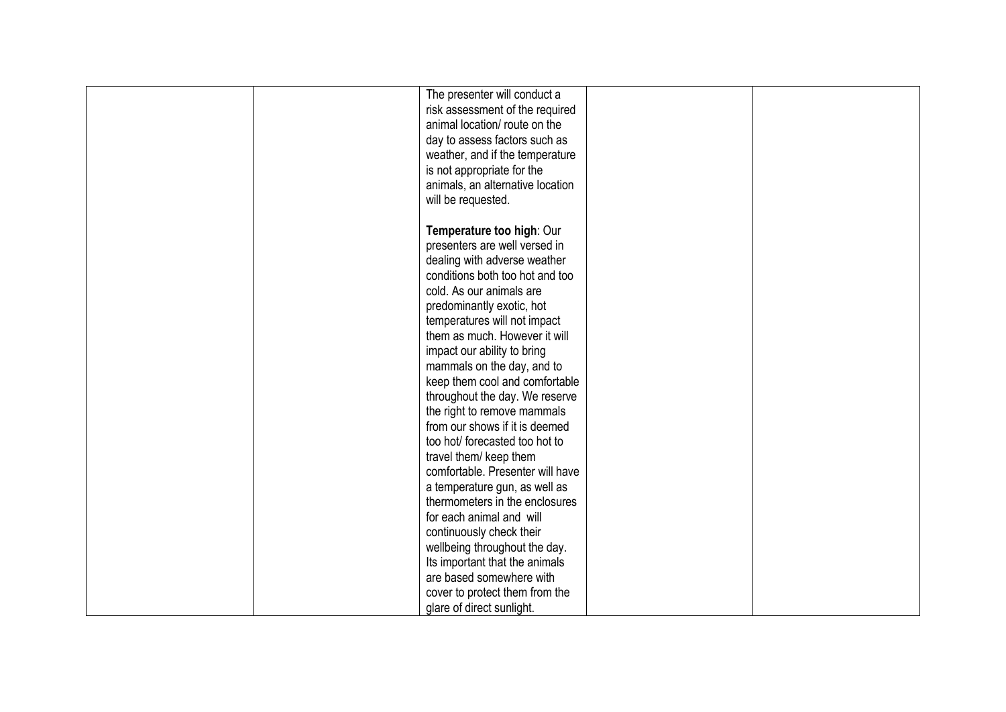| The presenter will conduct a     |
|----------------------------------|
| risk assessment of the required  |
| animal location/ route on the    |
| day to assess factors such as    |
| weather, and if the temperature  |
| is not appropriate for the       |
| animals, an alternative location |
| will be requested.               |
|                                  |
| Temperature too high: Our        |
| presenters are well versed in    |
| dealing with adverse weather     |
| conditions both too hot and too  |
| cold. As our animals are         |
| predominantly exotic, hot        |
| temperatures will not impact     |
| them as much. However it will    |
|                                  |
| impact our ability to bring      |
| mammals on the day, and to       |
| keep them cool and comfortable   |
| throughout the day. We reserve   |
| the right to remove mammals      |
| from our shows if it is deemed   |
| too hot/ forecasted too hot to   |
| travel them/ keep them           |
| comfortable. Presenter will have |
| a temperature gun, as well as    |
| thermometers in the enclosures   |
| for each animal and will         |
| continuously check their         |
| wellbeing throughout the day.    |
| Its important that the animals   |
| are based somewhere with         |
| cover to protect them from the   |
| glare of direct sunlight.        |
|                                  |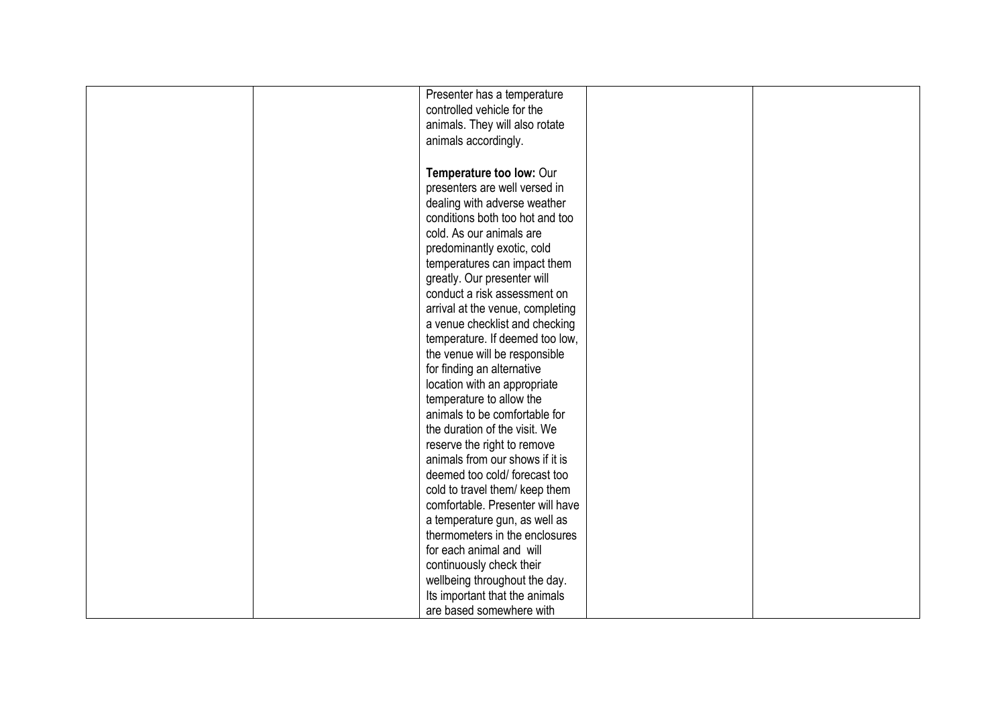|  | Presenter has a temperature                                 |  |
|--|-------------------------------------------------------------|--|
|  | controlled vehicle for the                                  |  |
|  | animals. They will also rotate                              |  |
|  | animals accordingly.                                        |  |
|  |                                                             |  |
|  | Temperature too low: Our                                    |  |
|  | presenters are well versed in                               |  |
|  | dealing with adverse weather                                |  |
|  | conditions both too hot and too                             |  |
|  | cold. As our animals are                                    |  |
|  | predominantly exotic, cold                                  |  |
|  | temperatures can impact them                                |  |
|  |                                                             |  |
|  | greatly. Our presenter will<br>conduct a risk assessment on |  |
|  |                                                             |  |
|  | arrival at the venue, completing                            |  |
|  | a venue checklist and checking                              |  |
|  | temperature. If deemed too low,                             |  |
|  | the venue will be responsible                               |  |
|  | for finding an alternative                                  |  |
|  | location with an appropriate                                |  |
|  | temperature to allow the                                    |  |
|  | animals to be comfortable for                               |  |
|  | the duration of the visit. We                               |  |
|  | reserve the right to remove                                 |  |
|  | animals from our shows if it is                             |  |
|  | deemed too cold/forecast too                                |  |
|  | cold to travel them/ keep them                              |  |
|  | comfortable. Presenter will have                            |  |
|  | a temperature gun, as well as                               |  |
|  | thermometers in the enclosures                              |  |
|  | for each animal and will                                    |  |
|  | continuously check their                                    |  |
|  | wellbeing throughout the day.                               |  |
|  | Its important that the animals                              |  |
|  | are based somewhere with                                    |  |
|  |                                                             |  |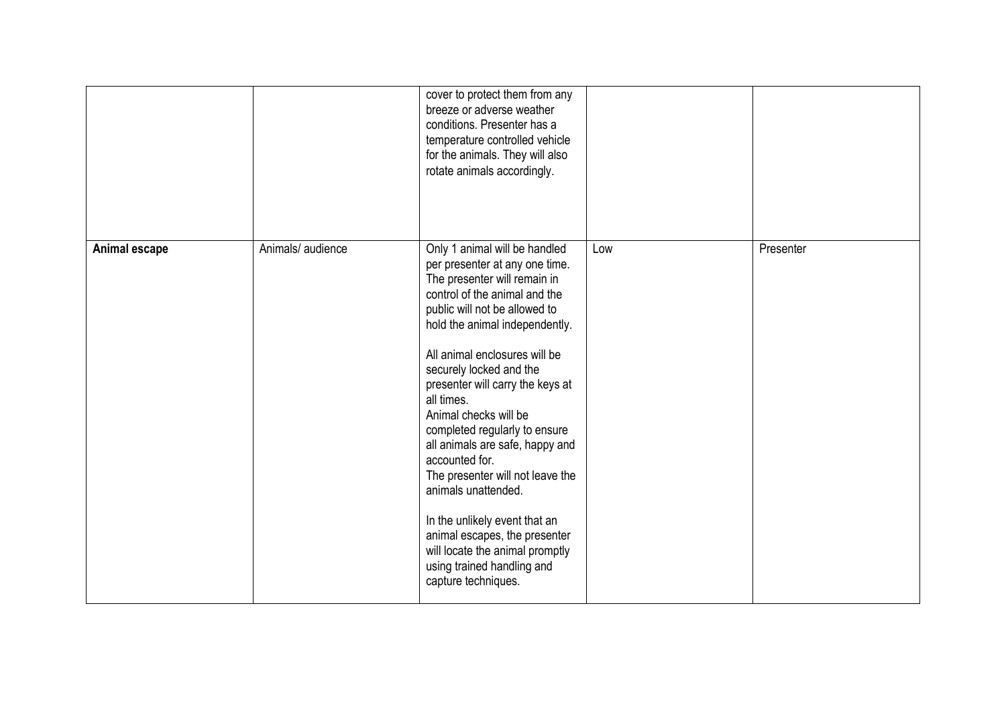|               |                   | cover to protect them from any<br>breeze or adverse weather<br>conditions. Presenter has a<br>temperature controlled vehicle<br>for the animals. They will also<br>rotate animals accordingly.                                                                                                                                                                                                                                                                                                                                                                                                                                                        |     |           |
|---------------|-------------------|-------------------------------------------------------------------------------------------------------------------------------------------------------------------------------------------------------------------------------------------------------------------------------------------------------------------------------------------------------------------------------------------------------------------------------------------------------------------------------------------------------------------------------------------------------------------------------------------------------------------------------------------------------|-----|-----------|
| Animal escape | Animals/ audience | Only 1 animal will be handled<br>per presenter at any one time.<br>The presenter will remain in<br>control of the animal and the<br>public will not be allowed to<br>hold the animal independently.<br>All animal enclosures will be<br>securely locked and the<br>presenter will carry the keys at<br>all times.<br>Animal checks will be<br>completed regularly to ensure<br>all animals are safe, happy and<br>accounted for.<br>The presenter will not leave the<br>animals unattended.<br>In the unlikely event that an<br>animal escapes, the presenter<br>will locate the animal promptly<br>using trained handling and<br>capture techniques. | Low | Presenter |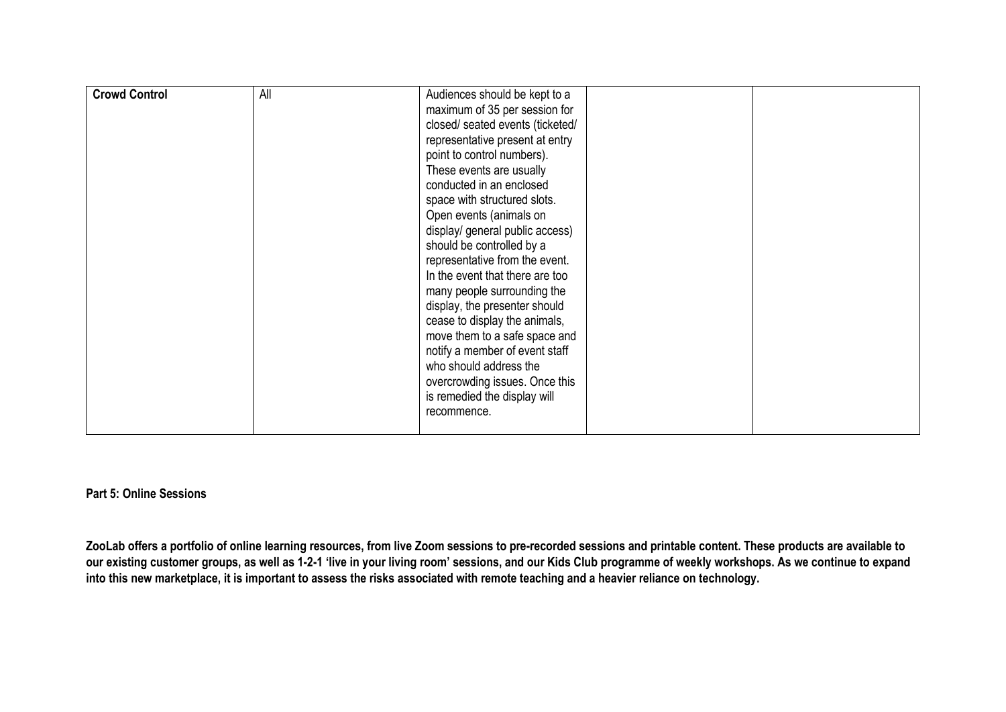| <b>Crowd Control</b> | All | Audiences should be kept to a    |  |
|----------------------|-----|----------------------------------|--|
|                      |     | maximum of 35 per session for    |  |
|                      |     | closed/ seated events (ticketed/ |  |
|                      |     | representative present at entry  |  |
|                      |     | point to control numbers).       |  |
|                      |     | These events are usually         |  |
|                      |     | conducted in an enclosed         |  |
|                      |     | space with structured slots.     |  |
|                      |     | Open events (animals on          |  |
|                      |     | display/ general public access)  |  |
|                      |     | should be controlled by a        |  |
|                      |     | representative from the event.   |  |
|                      |     | In the event that there are too  |  |
|                      |     | many people surrounding the      |  |
|                      |     | display, the presenter should    |  |
|                      |     | cease to display the animals,    |  |
|                      |     | move them to a safe space and    |  |
|                      |     | notify a member of event staff   |  |
|                      |     | who should address the           |  |
|                      |     | overcrowding issues. Once this   |  |
|                      |     | is remedied the display will     |  |
|                      |     | recommence.                      |  |
|                      |     |                                  |  |

#### **Part 5: Online Sessions**

**ZooLab offers a portfolio of online learning resources, from live Zoom sessions to pre-recorded sessions and printable content. These products are available to our existing customer groups, as well as 1-2-1 'live in your living room' sessions, and our Kids Club programme of weekly workshops. As we continue to expand into this new marketplace, it is important to assess the risks associated with remote teaching and a heavier reliance on technology.**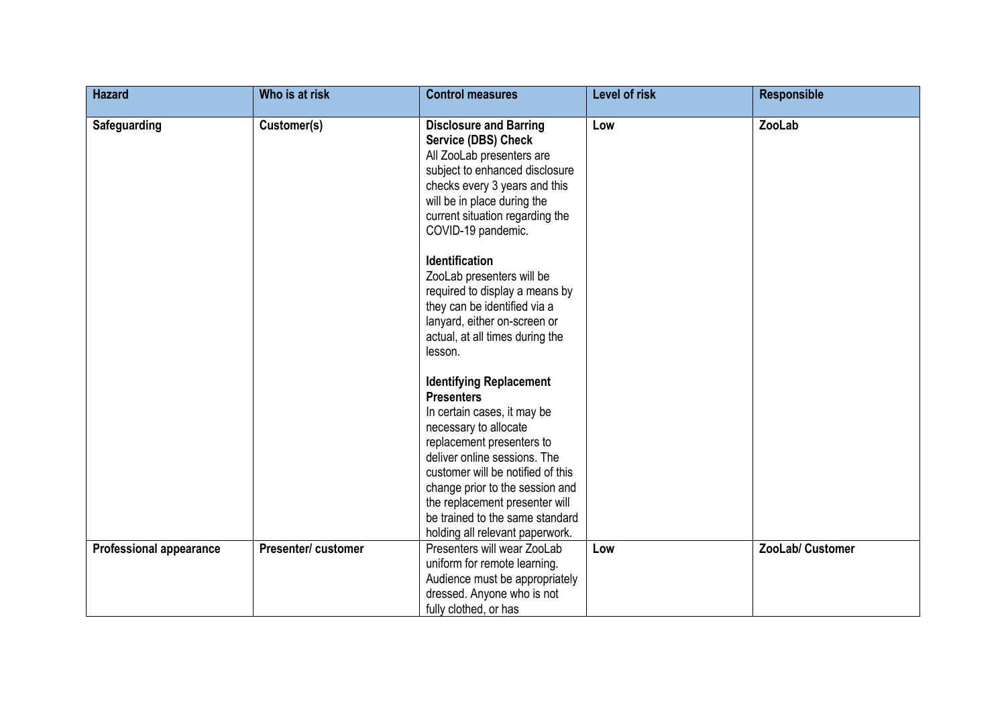| <b>Hazard</b>                  | Who is at risk     | <b>Control measures</b>                                                                                                                                                                                                                                                                                                                                  | Level of risk | <b>Responsible</b> |
|--------------------------------|--------------------|----------------------------------------------------------------------------------------------------------------------------------------------------------------------------------------------------------------------------------------------------------------------------------------------------------------------------------------------------------|---------------|--------------------|
| Safeguarding                   | Customer(s)        | <b>Disclosure and Barring</b><br>Service (DBS) Check<br>All ZooLab presenters are<br>subject to enhanced disclosure<br>checks every 3 years and this<br>will be in place during the<br>current situation regarding the<br>COVID-19 pandemic.                                                                                                             | Low           | ZooLab             |
|                                |                    | <b>Identification</b><br>ZooLab presenters will be<br>required to display a means by<br>they can be identified via a<br>lanyard, either on-screen or<br>actual, at all times during the<br>lesson.                                                                                                                                                       |               |                    |
|                                |                    | <b>Identifying Replacement</b><br><b>Presenters</b><br>In certain cases, it may be<br>necessary to allocate<br>replacement presenters to<br>deliver online sessions. The<br>customer will be notified of this<br>change prior to the session and<br>the replacement presenter will<br>be trained to the same standard<br>holding all relevant paperwork. |               |                    |
| <b>Professional appearance</b> | Presenter/customer | Presenters will wear ZooLab<br>uniform for remote learning.<br>Audience must be appropriately<br>dressed. Anyone who is not<br>fully clothed, or has                                                                                                                                                                                                     | Low           | ZooLab/ Customer   |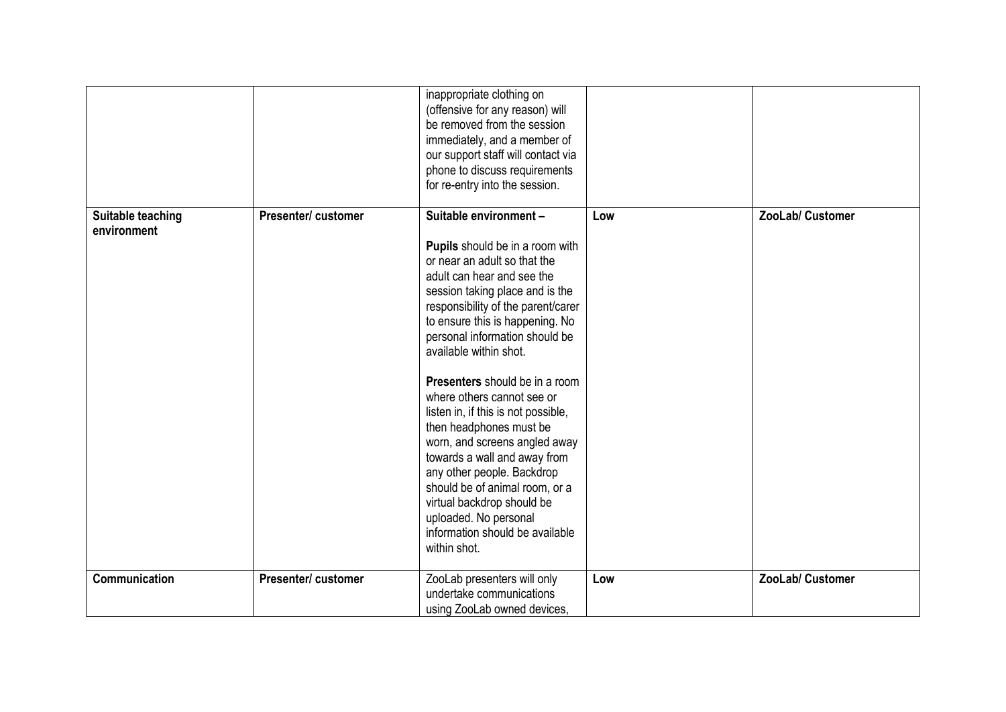|                                  |                     | inappropriate clothing on<br>(offensive for any reason) will<br>be removed from the session<br>immediately, and a member of<br>our support staff will contact via<br>phone to discuss requirements<br>for re-entry into the session.                                                                                                                                                                                                                                                                                                                                                                                                                                                |     |                  |
|----------------------------------|---------------------|-------------------------------------------------------------------------------------------------------------------------------------------------------------------------------------------------------------------------------------------------------------------------------------------------------------------------------------------------------------------------------------------------------------------------------------------------------------------------------------------------------------------------------------------------------------------------------------------------------------------------------------------------------------------------------------|-----|------------------|
| Suitable teaching<br>environment | Presenter/ customer | Suitable environment -<br>Pupils should be in a room with<br>or near an adult so that the<br>adult can hear and see the<br>session taking place and is the<br>responsibility of the parent/carer<br>to ensure this is happening. No<br>personal information should be<br>available within shot.<br><b>Presenters</b> should be in a room<br>where others cannot see or<br>listen in, if this is not possible,<br>then headphones must be<br>worn, and screens angled away<br>towards a wall and away from<br>any other people. Backdrop<br>should be of animal room, or a<br>virtual backdrop should be<br>uploaded. No personal<br>information should be available<br>within shot. | Low | ZooLab/ Customer |
| Communication                    | Presenter/ customer | ZooLab presenters will only<br>undertake communications<br>using ZooLab owned devices,                                                                                                                                                                                                                                                                                                                                                                                                                                                                                                                                                                                              | Low | ZooLab/ Customer |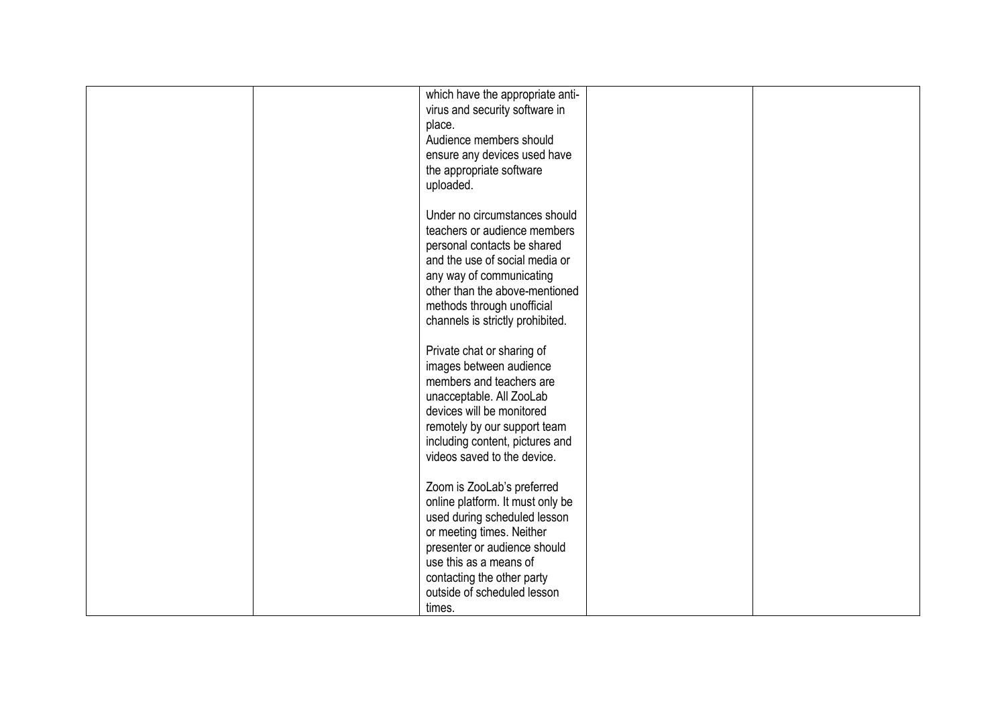|  | which have the appropriate anti- |  |
|--|----------------------------------|--|
|  | virus and security software in   |  |
|  | place.                           |  |
|  | Audience members should          |  |
|  | ensure any devices used have     |  |
|  | the appropriate software         |  |
|  | uploaded.                        |  |
|  |                                  |  |
|  |                                  |  |
|  | Under no circumstances should    |  |
|  | teachers or audience members     |  |
|  | personal contacts be shared      |  |
|  | and the use of social media or   |  |
|  | any way of communicating         |  |
|  | other than the above-mentioned   |  |
|  | methods through unofficial       |  |
|  | channels is strictly prohibited. |  |
|  |                                  |  |
|  | Private chat or sharing of       |  |
|  |                                  |  |
|  | images between audience          |  |
|  | members and teachers are         |  |
|  | unacceptable. All ZooLab         |  |
|  | devices will be monitored        |  |
|  | remotely by our support team     |  |
|  | including content, pictures and  |  |
|  | videos saved to the device.      |  |
|  |                                  |  |
|  | Zoom is ZooLab's preferred       |  |
|  | online platform. It must only be |  |
|  | used during scheduled lesson     |  |
|  | or meeting times. Neither        |  |
|  | presenter or audience should     |  |
|  |                                  |  |
|  | use this as a means of           |  |
|  | contacting the other party       |  |
|  | outside of scheduled lesson      |  |
|  | times.                           |  |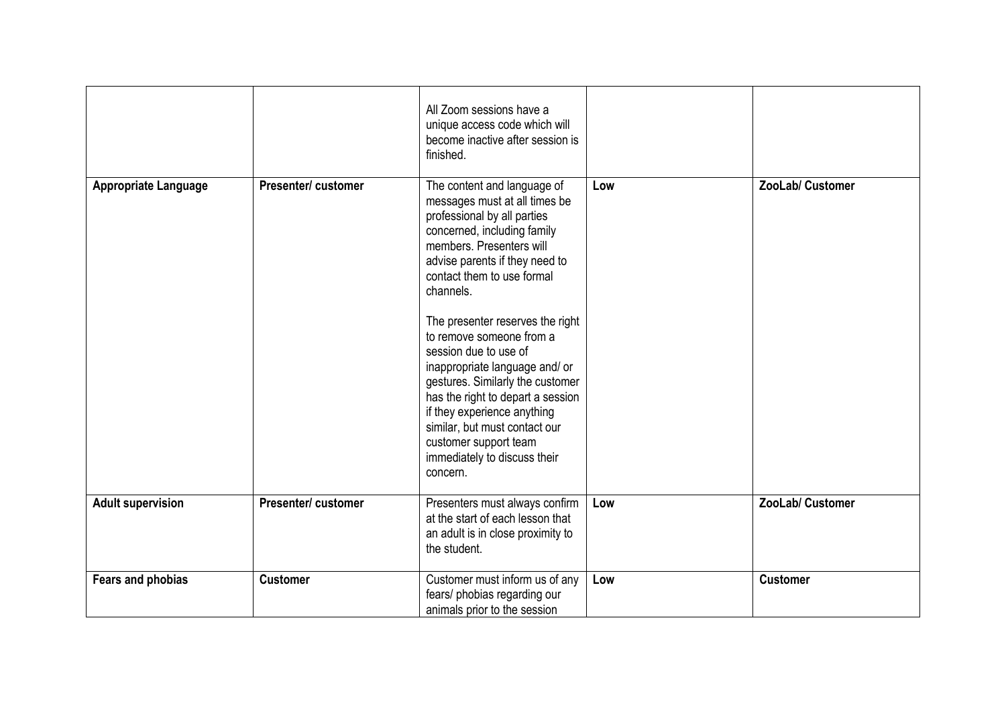|                             |                     | All Zoom sessions have a<br>unique access code which will<br>become inactive after session is<br>finished.                                                                                                                                                                                                                                                                                                                                                                                                                                                                   |     |                  |
|-----------------------------|---------------------|------------------------------------------------------------------------------------------------------------------------------------------------------------------------------------------------------------------------------------------------------------------------------------------------------------------------------------------------------------------------------------------------------------------------------------------------------------------------------------------------------------------------------------------------------------------------------|-----|------------------|
| <b>Appropriate Language</b> | Presenter/ customer | The content and language of<br>messages must at all times be<br>professional by all parties<br>concerned, including family<br>members. Presenters will<br>advise parents if they need to<br>contact them to use formal<br>channels.<br>The presenter reserves the right<br>to remove someone from a<br>session due to use of<br>inappropriate language and/ or<br>gestures. Similarly the customer<br>has the right to depart a session<br>if they experience anything<br>similar, but must contact our<br>customer support team<br>immediately to discuss their<br>concern. | Low | ZooLab/ Customer |
| <b>Adult supervision</b>    | Presenter/ customer | Presenters must always confirm<br>at the start of each lesson that<br>an adult is in close proximity to<br>the student.                                                                                                                                                                                                                                                                                                                                                                                                                                                      | Low | ZooLab/ Customer |
| Fears and phobias           | <b>Customer</b>     | Customer must inform us of any<br>fears/ phobias regarding our<br>animals prior to the session                                                                                                                                                                                                                                                                                                                                                                                                                                                                               | Low | <b>Customer</b>  |